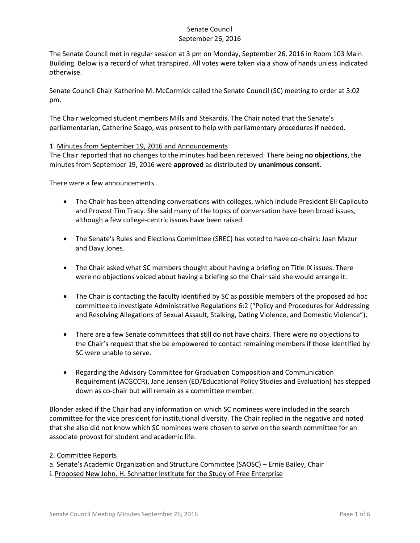The Senate Council met in regular session at 3 pm on Monday, September 26, 2016 in Room 103 Main Building. Below is a record of what transpired. All votes were taken via a show of hands unless indicated otherwise.

Senate Council Chair Katherine M. McCormick called the Senate Council (SC) meeting to order at 3:02 pm.

The Chair welcomed student members Mills and Stekardis. The Chair noted that the Senate's parliamentarian, Catherine Seago, was present to help with parliamentary procedures if needed.

### 1. Minutes from September 19, 2016 and Announcements

The Chair reported that no changes to the minutes had been received. There being **no objections**, the minutes from September 19, 2016 were **approved** as distributed by **unanimous consent**.

There were a few announcements.

- The Chair has been attending conversations with colleges, which include President Eli Capilouto and Provost Tim Tracy. She said many of the topics of conversation have been broad issues, although a few college-centric issues have been raised.
- The Senate's Rules and Elections Committee (SREC) has voted to have co-chairs: Joan Mazur and Davy Jones.
- The Chair asked what SC members thought about having a briefing on Title IX issues. There were no objections voiced about having a briefing so the Chair said she would arrange it.
- The Chair is contacting the faculty identified by SC as possible members of the proposed ad hoc committee to investigate Administrative Regulations 6:2 ("Policy and Procedures for Addressing and Resolving Allegations of Sexual Assault, Stalking, Dating Violence, and Domestic Violence").
- There are a few Senate committees that still do not have chairs. There were no objections to the Chair's request that she be empowered to contact remaining members if those identified by SC were unable to serve.
- Regarding the Advisory Committee for Graduation Composition and Communication Requirement (ACGCCR), Jane Jensen (ED/Educational Policy Studies and Evaluation) has stepped down as co-chair but will remain as a committee member.

Blonder asked if the Chair had any information on which SC nominees were included in the search committee for the vice president for institutional diversity. The Chair replied in the negative and noted that she also did not know which SC nominees were chosen to serve on the search committee for an associate provost for student and academic life.

2. Committee Reports

a. Senate's Academic Organization and Structure Committee (SAOSC) – Ernie Bailey, Chair

i. Proposed New John. H. Schnatter Institute for the Study of Free Enterprise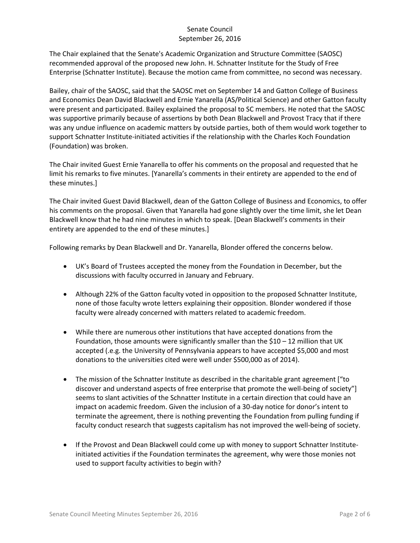The Chair explained that the Senate's Academic Organization and Structure Committee (SAOSC) recommended approval of the proposed new John. H. Schnatter Institute for the Study of Free Enterprise (Schnatter Institute). Because the motion came from committee, no second was necessary.

Bailey, chair of the SAOSC, said that the SAOSC met on September 14 and Gatton College of Business and Economics Dean David Blackwell and Ernie Yanarella (AS/Political Science) and other Gatton faculty were present and participated. Bailey explained the proposal to SC members. He noted that the SAOSC was supportive primarily because of assertions by both Dean Blackwell and Provost Tracy that if there was any undue influence on academic matters by outside parties, both of them would work together to support Schnatter Institute-initiated activities if the relationship with the Charles Koch Foundation (Foundation) was broken.

The Chair invited Guest Ernie Yanarella to offer his comments on the proposal and requested that he limit his remarks to five minutes. [Yanarella's comments in their entirety are appended to the end of these minutes.]

The Chair invited Guest David Blackwell, dean of the Gatton College of Business and Economics, to offer his comments on the proposal. Given that Yanarella had gone slightly over the time limit, she let Dean Blackwell know that he had nine minutes in which to speak. [Dean Blackwell's comments in their entirety are appended to the end of these minutes.]

Following remarks by Dean Blackwell and Dr. Yanarella, Blonder offered the concerns below.

- UK's Board of Trustees accepted the money from the Foundation in December, but the discussions with faculty occurred in January and February.
- Although 22% of the Gatton faculty voted in opposition to the proposed Schnatter Institute, none of those faculty wrote letters explaining their opposition. Blonder wondered if those faculty were already concerned with matters related to academic freedom.
- While there are numerous other institutions that have accepted donations from the Foundation, those amounts were significantly smaller than the  $$10 - 12$  million that UK accepted (.e.g. the University of Pennsylvania appears to have accepted \$5,000 and most donations to the universities cited were well under \$500,000 as of 2014).
- The mission of the Schnatter Institute as described in the charitable grant agreement ["to discover and understand aspects of free enterprise that promote the well-being of society"] seems to slant activities of the Schnatter Institute in a certain direction that could have an impact on academic freedom. Given the inclusion of a 30-day notice for donor's intent to terminate the agreement, there is nothing preventing the Foundation from pulling funding if faculty conduct research that suggests capitalism has not improved the well-being of society.
- If the Provost and Dean Blackwell could come up with money to support Schnatter Instituteinitiated activities if the Foundation terminates the agreement, why were those monies not used to support faculty activities to begin with?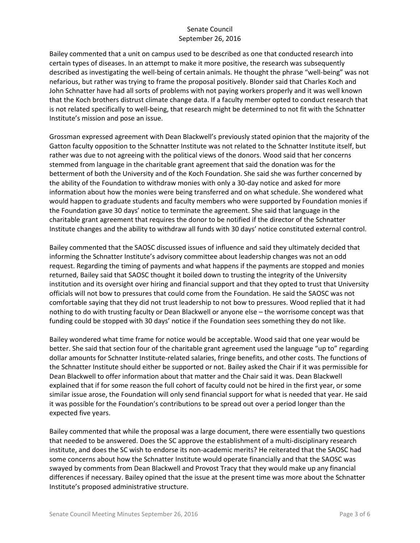Bailey commented that a unit on campus used to be described as one that conducted research into certain types of diseases. In an attempt to make it more positive, the research was subsequently described as investigating the well-being of certain animals. He thought the phrase "well-being" was not nefarious, but rather was trying to frame the proposal positively. Blonder said that Charles Koch and John Schnatter have had all sorts of problems with not paying workers properly and it was well known that the Koch brothers distrust climate change data. If a faculty member opted to conduct research that is not related specifically to well-being, that research might be determined to not fit with the Schnatter Institute's mission and pose an issue.

Grossman expressed agreement with Dean Blackwell's previously stated opinion that the majority of the Gatton faculty opposition to the Schnatter Institute was not related to the Schnatter Institute itself, but rather was due to not agreeing with the political views of the donors. Wood said that her concerns stemmed from language in the charitable grant agreement that said the donation was for the betterment of both the University and of the Koch Foundation. She said she was further concerned by the ability of the Foundation to withdraw monies with only a 30-day notice and asked for more information about how the monies were being transferred and on what schedule. She wondered what would happen to graduate students and faculty members who were supported by Foundation monies if the Foundation gave 30 days' notice to terminate the agreement. She said that language in the charitable grant agreement that requires the donor to be notified if the director of the Schnatter Institute changes and the ability to withdraw all funds with 30 days' notice constituted external control.

Bailey commented that the SAOSC discussed issues of influence and said they ultimately decided that informing the Schnatter Institute's advisory committee about leadership changes was not an odd request. Regarding the timing of payments and what happens if the payments are stopped and monies returned, Bailey said that SAOSC thought it boiled down to trusting the integrity of the University institution and its oversight over hiring and financial support and that they opted to trust that University officials will not bow to pressures that could come from the Foundation. He said the SAOSC was not comfortable saying that they did not trust leadership to not bow to pressures. Wood replied that it had nothing to do with trusting faculty or Dean Blackwell or anyone else – the worrisome concept was that funding could be stopped with 30 days' notice if the Foundation sees something they do not like.

Bailey wondered what time frame for notice would be acceptable. Wood said that one year would be better. She said that section four of the charitable grant agreement used the language "up to" regarding dollar amounts for Schnatter Institute-related salaries, fringe benefits, and other costs. The functions of the Schnatter Institute should either be supported or not. Bailey asked the Chair if it was permissible for Dean Blackwell to offer information about that matter and the Chair said it was. Dean Blackwell explained that if for some reason the full cohort of faculty could not be hired in the first year, or some similar issue arose, the Foundation will only send financial support for what is needed that year. He said it was possible for the Foundation's contributions to be spread out over a period longer than the expected five years.

Bailey commented that while the proposal was a large document, there were essentially two questions that needed to be answered. Does the SC approve the establishment of a multi-disciplinary research institute, and does the SC wish to endorse its non-academic merits? He reiterated that the SAOSC had some concerns about how the Schnatter Institute would operate financially and that the SAOSC was swayed by comments from Dean Blackwell and Provost Tracy that they would make up any financial differences if necessary. Bailey opined that the issue at the present time was more about the Schnatter Institute's proposed administrative structure.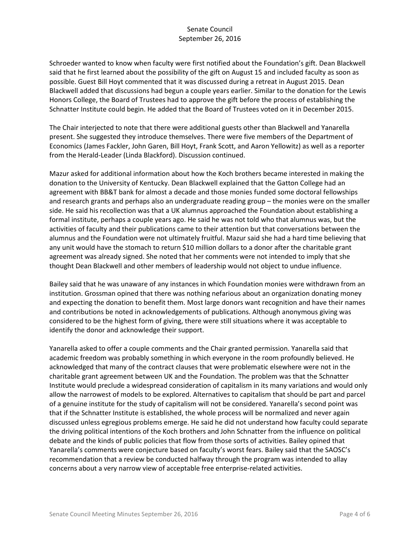Schroeder wanted to know when faculty were first notified about the Foundation's gift. Dean Blackwell said that he first learned about the possibility of the gift on August 15 and included faculty as soon as possible. Guest Bill Hoyt commented that it was discussed during a retreat in August 2015. Dean Blackwell added that discussions had begun a couple years earlier. Similar to the donation for the Lewis Honors College, the Board of Trustees had to approve the gift before the process of establishing the Schnatter Institute could begin. He added that the Board of Trustees voted on it in December 2015.

The Chair interjected to note that there were additional guests other than Blackwell and Yanarella present. She suggested they introduce themselves. There were five members of the Department of Economics (James Fackler, John Garen, Bill Hoyt, Frank Scott, and Aaron Yellowitz) as well as a reporter from the Herald-Leader (Linda Blackford). Discussion continued.

Mazur asked for additional information about how the Koch brothers became interested in making the donation to the University of Kentucky. Dean Blackwell explained that the Gatton College had an agreement with BB&T bank for almost a decade and those monies funded some doctoral fellowships and research grants and perhaps also an undergraduate reading group – the monies were on the smaller side. He said his recollection was that a UK alumnus approached the Foundation about establishing a formal institute, perhaps a couple years ago. He said he was not told who that alumnus was, but the activities of faculty and their publications came to their attention but that conversations between the alumnus and the Foundation were not ultimately fruitful. Mazur said she had a hard time believing that any unit would have the stomach to return \$10 million dollars to a donor after the charitable grant agreement was already signed. She noted that her comments were not intended to imply that she thought Dean Blackwell and other members of leadership would not object to undue influence.

Bailey said that he was unaware of any instances in which Foundation monies were withdrawn from an institution. Grossman opined that there was nothing nefarious about an organization donating money and expecting the donation to benefit them. Most large donors want recognition and have their names and contributions be noted in acknowledgements of publications. Although anonymous giving was considered to be the highest form of giving, there were still situations where it was acceptable to identify the donor and acknowledge their support.

Yanarella asked to offer a couple comments and the Chair granted permission. Yanarella said that academic freedom was probably something in which everyone in the room profoundly believed. He acknowledged that many of the contract clauses that were problematic elsewhere were not in the charitable grant agreement between UK and the Foundation. The problem was that the Schnatter Institute would preclude a widespread consideration of capitalism in its many variations and would only allow the narrowest of models to be explored. Alternatives to capitalism that should be part and parcel of a genuine institute for the study of capitalism will not be considered. Yanarella's second point was that if the Schnatter Institute is established, the whole process will be normalized and never again discussed unless egregious problems emerge. He said he did not understand how faculty could separate the driving political intentions of the Koch brothers and John Schnatter from the influence on political debate and the kinds of public policies that flow from those sorts of activities. Bailey opined that Yanarella's comments were conjecture based on faculty's worst fears. Bailey said that the SAOSC's recommendation that a review be conducted halfway through the program was intended to allay concerns about a very narrow view of acceptable free enterprise-related activities.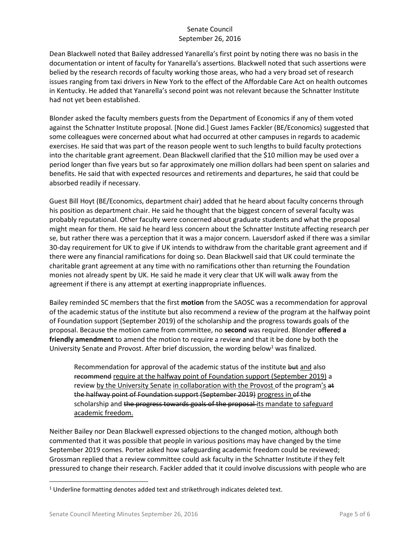Dean Blackwell noted that Bailey addressed Yanarella's first point by noting there was no basis in the documentation or intent of faculty for Yanarella's assertions. Blackwell noted that such assertions were belied by the research records of faculty working those areas, who had a very broad set of research issues ranging from taxi drivers in New York to the effect of the Affordable Care Act on health outcomes in Kentucky. He added that Yanarella's second point was not relevant because the Schnatter Institute had not yet been established.

Blonder asked the faculty members guests from the Department of Economics if any of them voted against the Schnatter Institute proposal. [None did.] Guest James Fackler (BE/Economics) suggested that some colleagues were concerned about what had occurred at other campuses in regards to academic exercises. He said that was part of the reason people went to such lengths to build faculty protections into the charitable grant agreement. Dean Blackwell clarified that the \$10 million may be used over a period longer than five years but so far approximately one million dollars had been spent on salaries and benefits. He said that with expected resources and retirements and departures, he said that could be absorbed readily if necessary.

Guest Bill Hoyt (BE/Economics, department chair) added that he heard about faculty concerns through his position as department chair. He said he thought that the biggest concern of several faculty was probably reputational. Other faculty were concerned about graduate students and what the proposal might mean for them. He said he heard less concern about the Schnatter Institute affecting research per se, but rather there was a perception that it was a major concern. Lauersdorf asked if there was a similar 30-day requirement for UK to give if UK intends to withdraw from the charitable grant agreement and if there were any financial ramifications for doing so. Dean Blackwell said that UK could terminate the charitable grant agreement at any time with no ramifications other than returning the Foundation monies not already spent by UK. He said he made it very clear that UK will walk away from the agreement if there is any attempt at exerting inappropriate influences.

Bailey reminded SC members that the first **motion** from the SAOSC was a recommendation for approval of the academic status of the institute but also recommend a review of the program at the halfway point of Foundation support (September 2019) of the scholarship and the progress towards goals of the proposal. Because the motion came from committee, no **second** was required. Blonder **offered a friendly amendment** to amend the motion to require a review and that it be done by both the University Senate and Provost. After brief discussion, the wording below<sup>1</sup> was finalized.

Recommendation for approval of the academic status of the institute but and also recommend require at the halfway point of Foundation support (September 2019) a review by the University Senate in collaboration with the Provost of the program's at the halfway point of Foundation support (September 2019) progress in of the scholarship and the progress towards goals of the proposal its mandate to safeguard academic freedom.

Neither Bailey nor Dean Blackwell expressed objections to the changed motion, although both commented that it was possible that people in various positions may have changed by the time September 2019 comes. Porter asked how safeguarding academic freedom could be reviewed; Grossman replied that a review committee could ask faculty in the Schnatter Institute if they felt pressured to change their research. Fackler added that it could involve discussions with people who are

 $\overline{\phantom{a}}$ 

<sup>&</sup>lt;sup>1</sup> Underline formatting denotes added text and strikethrough indicates deleted text.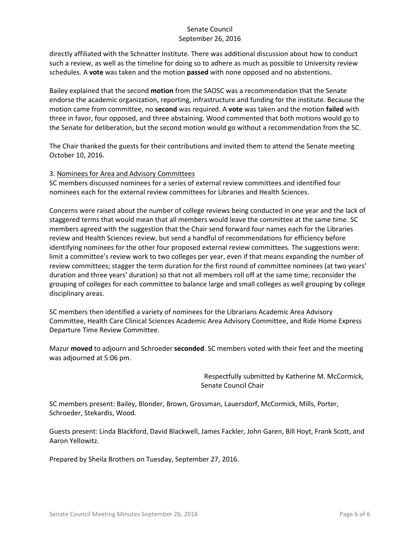directly affiliated with the Schnatter Institute. There was additional discussion about how to conduct such a review, as well as the timeline for doing so to adhere as much as possible to University review schedules. A **vote** was taken and the motion **passed** with none opposed and no abstentions.

Bailey explained that the second **motion** from the SAOSC was a recommendation that the Senate endorse the academic organization, reporting, infrastructure and funding for the institute. Because the motion came from committee, no **second** was required. A **vote** was taken and the motion **failed** with three in favor, four opposed, and three abstaining. Wood commented that both motions would go to the Senate for deliberation, but the second motion would go without a recommendation from the SC.

The Chair thanked the guests for their contributions and invited them to attend the Senate meeting October 10, 2016.

### 3. Nominees for Area and Advisory Committees

SC members discussed nominees for a series of external review committees and identified four nominees each for the external review committees for Libraries and Health Sciences.

Concerns were raised about the number of college reviews being conducted in one year and the lack of staggered terms that would mean that all members would leave the committee at the same time. SC members agreed with the suggestion that the Chair send forward four names each for the Libraries review and Health Sciences review, but send a handful of recommendations for efficiency before identifying nominees for the other four proposed external review committees. The suggestions were: limit a committee's review work to two colleges per year, even if that means expanding the number of review committees; stagger the term duration for the first round of committee nominees (at two years' duration and three years' duration) so that not all members roll off at the same time; reconsider the grouping of colleges for each committee to balance large and small colleges as well grouping by college disciplinary areas.

SC members then identified a variety of nominees for the Librarians Academic Area Advisory Committee, Health Care Clinical Sciences Academic Area Advisory Committee, and Ride Home Express Departure Time Review Committee.

Mazur **moved** to adjourn and Schroeder **seconded**. SC members voted with their feet and the meeting was adjourned at 5:06 pm.

> Respectfully submitted by Katherine M. McCormick, Senate Council Chair

SC members present: Bailey, Blonder, Brown, Grossman, Lauersdorf, McCormick, Mills, Porter, Schroeder, Stekardis, Wood.

Guests present: Linda Blackford, David Blackwell, James Fackler, John Garen, Bill Hoyt, Frank Scott, and Aaron Yellowitz.

Prepared by Sheila Brothers on Tuesday, September 27, 2016.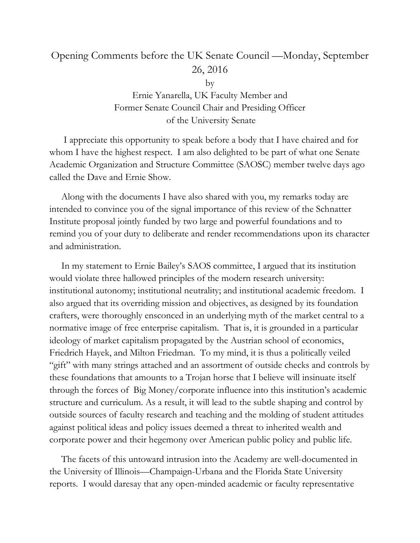# Opening Comments before the UK Senate Council —Monday, September 26, 2016

by

Ernie Yanarella, UK Faculty Member and Former Senate Council Chair and Presiding Officer of the University Senate

 I appreciate this opportunity to speak before a body that I have chaired and for whom I have the highest respect. I am also delighted to be part of what one Senate Academic Organization and Structure Committee (SAOSC) member twelve days ago called the Dave and Ernie Show.

 Along with the documents I have also shared with you, my remarks today are intended to convince you of the signal importance of this review of the Schnatter Institute proposal jointly funded by two large and powerful foundations and to remind you of your duty to deliberate and render recommendations upon its character and administration.

 In my statement to Ernie Bailey's SAOS committee, I argued that its institution would violate three hallowed principles of the modern research university: institutional autonomy; institutional neutrality; and institutional academic freedom. I also argued that its overriding mission and objectives, as designed by its foundation crafters, were thoroughly ensconced in an underlying myth of the market central to a normative image of free enterprise capitalism. That is, it is grounded in a particular ideology of market capitalism propagated by the Austrian school of economics, Friedrich Hayek, and Milton Friedman. To my mind, it is thus a politically veiled "gift" with many strings attached and an assortment of outside checks and controls by these foundations that amounts to a Trojan horse that I believe will insinuate itself through the forces of Big Money/corporate influence into this institution's academic structure and curriculum. As a result, it will lead to the subtle shaping and control by outside sources of faculty research and teaching and the molding of student attitudes against political ideas and policy issues deemed a threat to inherited wealth and corporate power and their hegemony over American public policy and public life.

 The facets of this untoward intrusion into the Academy are well-documented in the University of Illinois—Champaign-Urbana and the Florida State University reports. I would daresay that any open-minded academic or faculty representative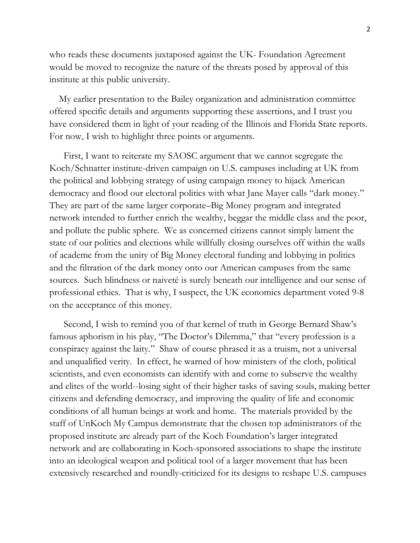who reads these documents juxtaposed against the UK- Foundation Agreement would be moved to recognize the nature of the threats posed by approval of this institute at this public university.

 My earlier presentation to the Bailey organization and administration committee offered specific details and arguments supporting these assertions, and I trust you have considered them in light of your reading of the Illinois and Florida State reports. For now, I wish to highlight three points or arguments.

 First, I want to reiterate my SAOSC argument that we cannot segregate the Koch/Schnatter institute-driven campaign on U.S. campuses including at UK from the political and lobbying strategy of using campaign money to hijack American democracy and flood our electoral politics with what Jane Mayer calls "dark money." They are part of the same larger corporate–Big Money program and integrated network intended to further enrich the wealthy, beggar the middle class and the poor, and pollute the public sphere. We as concerned citizens cannot simply lament the state of our politics and elections while willfully closing ourselves off within the walls of academe from the unity of Big Money electoral funding and lobbying in politics and the filtration of the dark money onto our American campuses from the same sources. Such blindness or naiveté is surely beneath our intelligence and our sense of professional ethics. That is why, I suspect, the UK economics department voted 9-8 on the acceptance of this money.

 Second, I wish to remind you of that kernel of truth in George Bernard Shaw's famous aphorism in his play, "The Doctor's Dilemma," that "every profession is a conspiracy against the laity." Shaw of course phrased it as a truism, not a universal and unqualified verity. In effect, he warned of how ministers of the cloth, political scientists, and even economists can identify with and come to subserve the wealthy and elites of the world--losing sight of their higher tasks of saving souls, making better citizens and defending democracy, and improving the quality of life and economic conditions of all human beings at work and home. The materials provided by the staff of UnKoch My Campus demonstrate that the chosen top administrators of the proposed institute are already part of the Koch Foundation's larger integrated network and are collaborating in Koch-sponsored associations to shape the institute into an ideological weapon and political tool of a larger movement that has been extensively researched and roundly-criticized for its designs to reshape U.S. campuses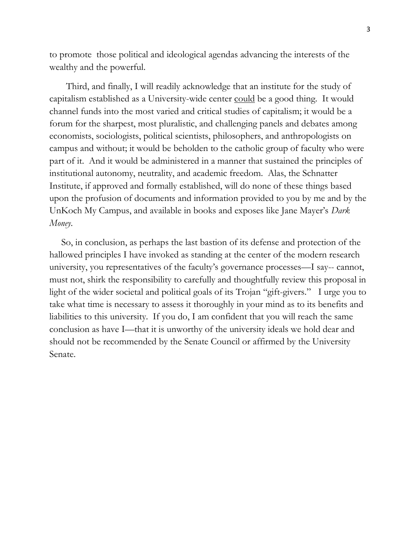to promote those political and ideological agendas advancing the interests of the wealthy and the powerful.

 Third, and finally, I will readily acknowledge that an institute for the study of capitalism established as a University-wide center could be a good thing. It would channel funds into the most varied and critical studies of capitalism; it would be a forum for the sharpest, most pluralistic, and challenging panels and debates among economists, sociologists, political scientists, philosophers, and anthropologists on campus and without; it would be beholden to the catholic group of faculty who were part of it. And it would be administered in a manner that sustained the principles of institutional autonomy, neutrality, and academic freedom. Alas, the Schnatter Institute, if approved and formally established, will do none of these things based upon the profusion of documents and information provided to you by me and by the UnKoch My Campus, and available in books and exposes like Jane Mayer's *Dark Money*.

 So, in conclusion, as perhaps the last bastion of its defense and protection of the hallowed principles I have invoked as standing at the center of the modern research university, you representatives of the faculty's governance processes—I say-- cannot, must not, shirk the responsibility to carefully and thoughtfully review this proposal in light of the wider societal and political goals of its Trojan "gift-givers." I urge you to take what time is necessary to assess it thoroughly in your mind as to its benefits and liabilities to this university. If you do, I am confident that you will reach the same conclusion as have I—that it is unworthy of the university ideals we hold dear and should not be recommended by the Senate Council or affirmed by the University Senate.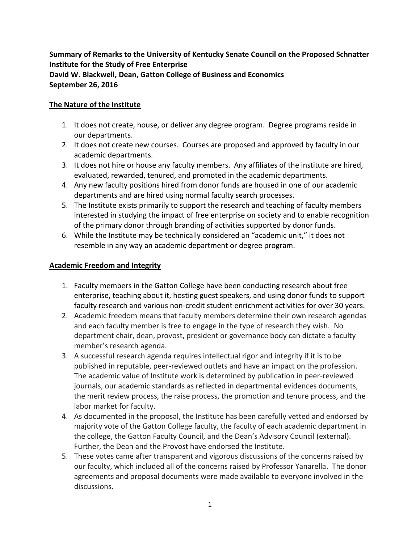**Summary of Remarks to the University of Kentucky Senate Council on the Proposed Schnatter Institute for the Study of Free Enterprise David W. Blackwell, Dean, Gatton College of Business and Economics September 26, 2016**

# **The Nature of the Institute**

- 1. It does not create, house, or deliver any degree program. Degree programs reside in our departments.
- 2. It does not create new courses. Courses are proposed and approved by faculty in our academic departments.
- 3. It does not hire or house any faculty members. Any affiliates of the institute are hired, evaluated, rewarded, tenured, and promoted in the academic departments.
- 4. Any new faculty positions hired from donor funds are housed in one of our academic departments and are hired using normal faculty search processes.
- 5. The Institute exists primarily to support the research and teaching of faculty members interested in studying the impact of free enterprise on society and to enable recognition of the primary donor through branding of activities supported by donor funds.
- 6. While the Institute may be technically considered an "academic unit," it does not resemble in any way an academic department or degree program.

# **Academic Freedom and Integrity**

- 1. Faculty members in the Gatton College have been conducting research about free enterprise, teaching about it, hosting guest speakers, and using donor funds to support faculty research and various non-credit student enrichment activities for over 30 years.
- 2. Academic freedom means that faculty members determine their own research agendas and each faculty member is free to engage in the type of research they wish. No department chair, dean, provost, president or governance body can dictate a faculty member's research agenda.
- 3. A successful research agenda requires intellectual rigor and integrity if it is to be published in reputable, peer-reviewed outlets and have an impact on the profession. The academic value of Institute work is determined by publication in peer-reviewed journals, our academic standards as reflected in departmental evidences documents, the merit review process, the raise process, the promotion and tenure process, and the labor market for faculty.
- 4. As documented in the proposal, the Institute has been carefully vetted and endorsed by majority vote of the Gatton College faculty, the faculty of each academic department in the college, the Gatton Faculty Council, and the Dean's Advisory Council (external). Further, the Dean and the Provost have endorsed the Institute.
- 5. These votes came after transparent and vigorous discussions of the concerns raised by our faculty, which included all of the concerns raised by Professor Yanarella. The donor agreements and proposal documents were made available to everyone involved in the discussions.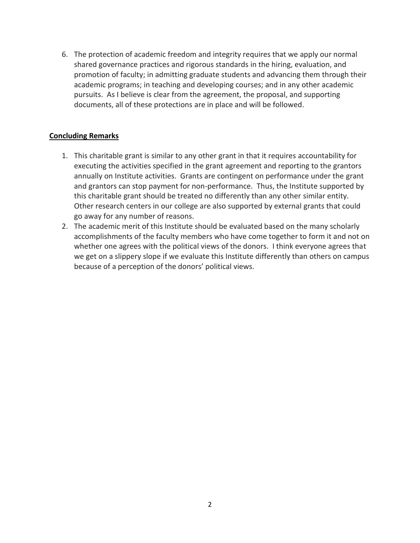6. The protection of academic freedom and integrity requires that we apply our normal shared governance practices and rigorous standards in the hiring, evaluation, and promotion of faculty; in admitting graduate students and advancing them through their academic programs; in teaching and developing courses; and in any other academic pursuits. As I believe is clear from the agreement, the proposal, and supporting documents, all of these protections are in place and will be followed.

# **Concluding Remarks**

- 1. This charitable grant is similar to any other grant in that it requires accountability for executing the activities specified in the grant agreement and reporting to the grantors annually on Institute activities. Grants are contingent on performance under the grant and grantors can stop payment for non-performance. Thus, the Institute supported by this charitable grant should be treated no differently than any other similar entity. Other research centers in our college are also supported by external grants that could go away for any number of reasons.
- 2. The academic merit of this Institute should be evaluated based on the many scholarly accomplishments of the faculty members who have come together to form it and not on whether one agrees with the political views of the donors. I think everyone agrees that we get on a slippery slope if we evaluate this Institute differently than others on campus because of a perception of the donors' political views.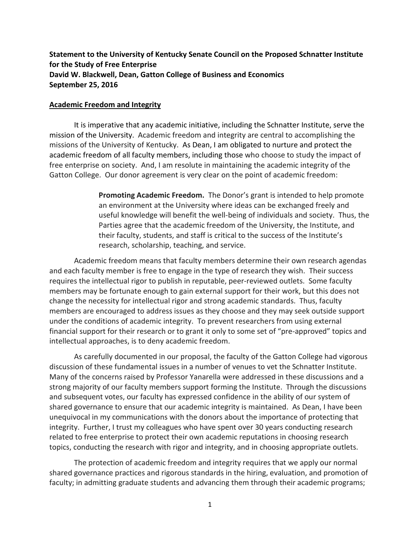# **Statement to the University of Kentucky Senate Council on the Proposed Schnatter Institute for the Study of Free Enterprise David W. Blackwell, Dean, Gatton College of Business and Economics September 25, 2016**

### **Academic Freedom and Integrity**

It is imperative that any academic initiative, including the Schnatter Institute, serve the mission of the University. Academic freedom and integrity are central to accomplishing the missions of the University of Kentucky. As Dean, I am obligated to nurture and protect the academic freedom of all faculty members, including those who choose to study the impact of free enterprise on society. And, I am resolute in maintaining the academic integrity of the Gatton College. Our donor agreement is very clear on the point of academic freedom:

> **Promoting Academic Freedom.** The Donor's grant is intended to help promote an environment at the University where ideas can be exchanged freely and useful knowledge will benefit the well-being of individuals and society. Thus, the Parties agree that the academic freedom of the University, the Institute, and their faculty, students, and staff is critical to the success of the Institute's research, scholarship, teaching, and service.

Academic freedom means that faculty members determine their own research agendas and each faculty member is free to engage in the type of research they wish. Their success requires the intellectual rigor to publish in reputable, peer-reviewed outlets. Some faculty members may be fortunate enough to gain external support for their work, but this does not change the necessity for intellectual rigor and strong academic standards. Thus, faculty members are encouraged to address issues as they choose and they may seek outside support under the conditions of academic integrity. To prevent researchers from using external financial support for their research or to grant it only to some set of "pre-approved" topics and intellectual approaches, is to deny academic freedom.

As carefully documented in our proposal, the faculty of the Gatton College had vigorous discussion of these fundamental issues in a number of venues to vet the Schnatter Institute. Many of the concerns raised by Professor Yanarella were addressed in these discussions and a strong majority of our faculty members support forming the Institute. Through the discussions and subsequent votes, our faculty has expressed confidence in the ability of our system of shared governance to ensure that our academic integrity is maintained. As Dean, I have been unequivocal in my communications with the donors about the importance of protecting that integrity. Further, I trust my colleagues who have spent over 30 years conducting research related to free enterprise to protect their own academic reputations in choosing research topics, conducting the research with rigor and integrity, and in choosing appropriate outlets.

The protection of academic freedom and integrity requires that we apply our normal shared governance practices and rigorous standards in the hiring, evaluation, and promotion of faculty; in admitting graduate students and advancing them through their academic programs;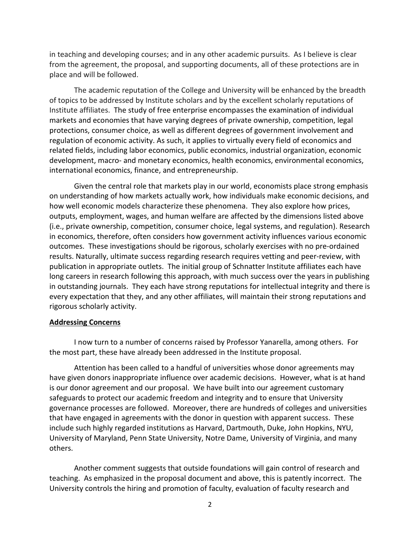in teaching and developing courses; and in any other academic pursuits. As I believe is clear from the agreement, the proposal, and supporting documents, all of these protections are in place and will be followed.

The academic reputation of the College and University will be enhanced by the breadth of topics to be addressed by Institute scholars and by the excellent scholarly reputations of Institute affiliates. The study of free enterprise encompasses the examination of individual markets and economies that have varying degrees of private ownership, competition, legal protections, consumer choice, as well as different degrees of government involvement and regulation of economic activity. As such, it applies to virtually every field of economics and related fields, including labor economics, public economics, industrial organization, economic development, macro- and monetary economics, health economics, environmental economics, international economics, finance, and entrepreneurship.

Given the central role that markets play in our world, economists place strong emphasis on understanding of how markets actually work, how individuals make economic decisions, and how well economic models characterize these phenomena. They also explore how prices, outputs, employment, wages, and human welfare are affected by the dimensions listed above (i.e., private ownership, competition, consumer choice, legal systems, and regulation). Research in economics, therefore, often considers how government activity influences various economic outcomes. These investigations should be rigorous, scholarly exercises with no pre-ordained results. Naturally, ultimate success regarding research requires vetting and peer-review, with publication in appropriate outlets. The initial group of Schnatter Institute affiliates each have long careers in research following this approach, with much success over the years in publishing in outstanding journals. They each have strong reputations for intellectual integrity and there is every expectation that they, and any other affiliates, will maintain their strong reputations and rigorous scholarly activity.

#### **Addressing Concerns**

I now turn to a number of concerns raised by Professor Yanarella, among others. For the most part, these have already been addressed in the Institute proposal.

Attention has been called to a handful of universities whose donor agreements may have given donors inappropriate influence over academic decisions. However, what is at hand is our donor agreement and our proposal. We have built into our agreement customary safeguards to protect our academic freedom and integrity and to ensure that University governance processes are followed. Moreover, there are hundreds of colleges and universities that have engaged in agreements with the donor in question with apparent success. These include such highly regarded institutions as Harvard, Dartmouth, Duke, John Hopkins, NYU, University of Maryland, Penn State University, Notre Dame, University of Virginia, and many others.

Another comment suggests that outside foundations will gain control of research and teaching. As emphasized in the proposal document and above, this is patently incorrect. The University controls the hiring and promotion of faculty, evaluation of faculty research and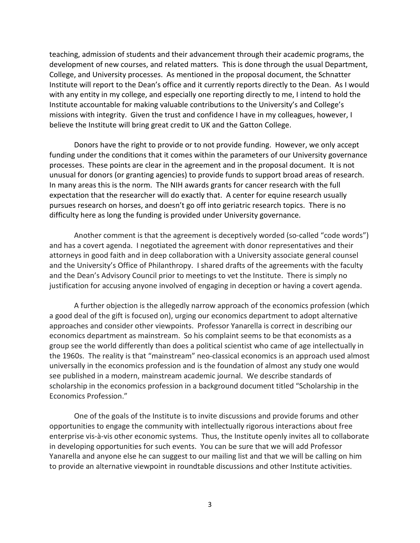teaching, admission of students and their advancement through their academic programs, the development of new courses, and related matters. This is done through the usual Department, College, and University processes. As mentioned in the proposal document, the Schnatter Institute will report to the Dean's office and it currently reports directly to the Dean. As I would with any entity in my college, and especially one reporting directly to me, I intend to hold the Institute accountable for making valuable contributions to the University's and College's missions with integrity. Given the trust and confidence I have in my colleagues, however, I believe the Institute will bring great credit to UK and the Gatton College.

Donors have the right to provide or to not provide funding. However, we only accept funding under the conditions that it comes within the parameters of our University governance processes. These points are clear in the agreement and in the proposal document. It is not unusual for donors (or granting agencies) to provide funds to support broad areas of research. In many areas this is the norm. The NIH awards grants for cancer research with the full expectation that the researcher will do exactly that. A center for equine research usually pursues research on horses, and doesn't go off into geriatric research topics. There is no difficulty here as long the funding is provided under University governance.

Another comment is that the agreement is deceptively worded (so-called "code words") and has a covert agenda. I negotiated the agreement with donor representatives and their attorneys in good faith and in deep collaboration with a University associate general counsel and the University's Office of Philanthropy. I shared drafts of the agreements with the faculty and the Dean's Advisory Council prior to meetings to vet the Institute. There is simply no justification for accusing anyone involved of engaging in deception or having a covert agenda.

A further objection is the allegedly narrow approach of the economics profession (which a good deal of the gift is focused on), urging our economics department to adopt alternative approaches and consider other viewpoints. Professor Yanarella is correct in describing our economics department as mainstream. So his complaint seems to be that economists as a group see the world differently than does a political scientist who came of age intellectually in the 1960s. The reality is that "mainstream" neo-classical economics is an approach used almost universally in the economics profession and is the foundation of almost any study one would see published in a modern, mainstream academic journal. We describe standards of scholarship in the economics profession in a background document titled "Scholarship in the Economics Profession."

One of the goals of the Institute is to invite discussions and provide forums and other opportunities to engage the community with intellectually rigorous interactions about free enterprise vis-à-vis other economic systems. Thus, the Institute openly invites all to collaborate in developing opportunities for such events. You can be sure that we will add Professor Yanarella and anyone else he can suggest to our mailing list and that we will be calling on him to provide an alternative viewpoint in roundtable discussions and other Institute activities.